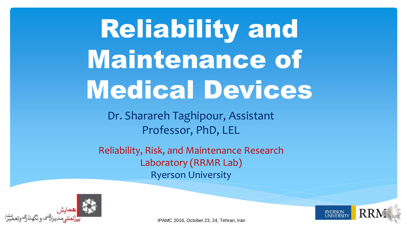Reliability and Maintenance of Medical Devices

Dr. Sharareh Taghipour, Assistant Professor, PhD, LEL

Reliability, Risk, and Maintenance Research Laboratory (RRMR Lab) Ryerson University



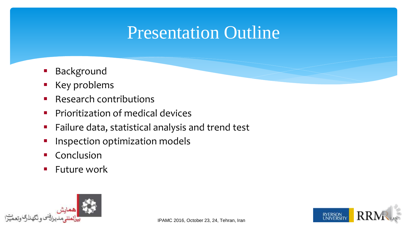#### Presentation Outline

- Background
- Key problems
- Research contributions
- Prioritization of medical devices
- **Failure data, statistical analysis and trend test**
- Inspection optimization models
- Conclusion
- Future work

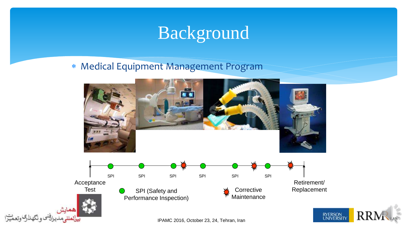### Background

#### Medical Equipment Management Program



**RYERSON**<br>UNIVERSIT **RR**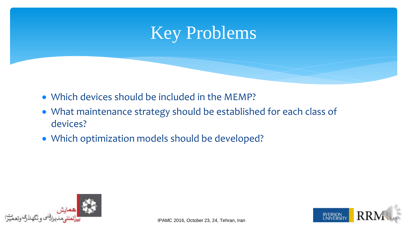

- Which devices should be included in the MEMP?
- What maintenance strategy should be established for each class of devices?
- Which optimization models should be developed?



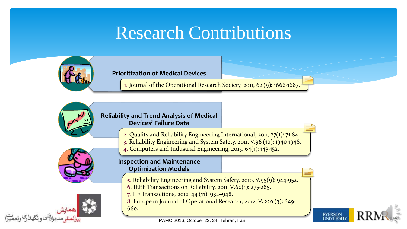### Research Contributions



#### **Prioritization of Medical Devices**

1. Journal of the Operational Research Society, 2011, 62 (9): 1666-1687.



#### **Reliability and Trend Analysis of Medical Devices' Failure Data**

- 2. Quality and Reliability Engineering International, 2011, 27(1): 71-84.
- 3. Reliability Engineering and System Safety, 2011, V.96 (10): 1340-1348.
- 4. Computers and Industrial Engineering, 2013, 64(1): 143-152.



#### **Inspection and Maintenance Optimization Models**

- 5. Reliability Engineering and System Safety, 2010, V.95(9): 944-952.
- 6. IEEE Transactions on Reliability, 2011, V.60(1): 275-285.
- 7. IIE Transactions, 2012, 44 (11): 932–948.
- 8. European Journal of Operational Research, 2012, V. 220 (3): 649-

660.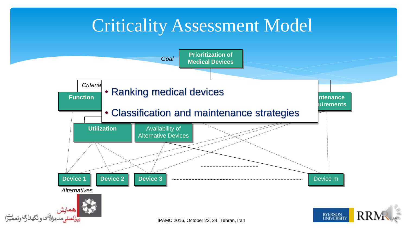### Criticality Assessment Model

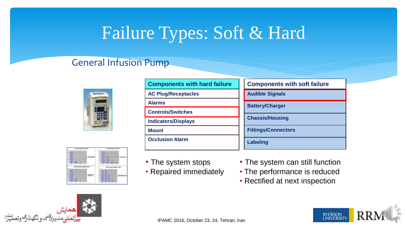### Failure Types: Soft & Hard

#### General Infusion Pump



| <b>Components with hard failure</b> | <b>Components with soft failure</b> |
|-------------------------------------|-------------------------------------|
| <b>AC Plug/Receptacles</b>          | <b>Audible Signals</b>              |
| <b>Alarms</b>                       | <b>Battery/Charger</b>              |
| <b>Controls/Switches</b>            |                                     |
| <b>Indicators/Displays</b>          | <b>Chassis/Housing</b>              |
| <b>Mount</b>                        | <b>Fittings/Connectors</b>          |
| <b>Occlusion Alarm</b>              | Labeling                            |



- The system stops
- Repaired immediately
- The system can still function
- The performance is reduced
- Rectified at next inspection



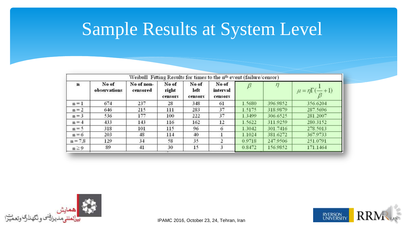### Sample Results at System Level

|             |                       | Weibull Fitting Results for times to the n <sup>th</sup> event (failure/censor) |                           |                          |                              |        |          |                                          |
|-------------|-----------------------|---------------------------------------------------------------------------------|---------------------------|--------------------------|------------------------------|--------|----------|------------------------------------------|
| $\mathbf n$ | No of<br>observations | No of non-<br>censored                                                          | No of<br>right<br>censors | No of<br>left<br>censors | No of<br>interval<br>censors |        |          | $\mu = \eta \Gamma(\frac{1}{\beta} + 1)$ |
| $n = 1$     | 674                   | 237                                                                             | 28                        | 348                      | 61                           | 1.5680 | 396.9852 | 356.6204                                 |
| $n = 2$     | 646                   | 215                                                                             | 111                       | 283                      | 37                           | 1.5175 | 318.9879 | 287.5696                                 |
| $n = 3$     | 536                   | 177                                                                             | 100                       | 222                      | 37                           | 1.3499 | 306.6525 | 281.2007                                 |
| $n = 4$     | 433                   | 143                                                                             | 116                       | 162                      | 12                           | 1.5622 | 311.9259 | 280.3152                                 |
| $n = 5$     | 318                   | 101                                                                             | 115                       | 96                       | 6                            | 1.3042 | 301.7416 | 278.5013                                 |
| $n = 6$     | 203                   | 48                                                                              | 114                       | 40                       |                              | 1.1024 | 381.6272 | 367.9733                                 |
| $n = 7,8$   | 129                   | 34                                                                              | 58                        | 35                       |                              | 0.9718 | 247.9506 | 251.0791                                 |
| $n \geq 9$  | 89                    | 41                                                                              | 30                        | 15                       | 3                            | 0.8472 | 156.9852 | 171.1464                                 |



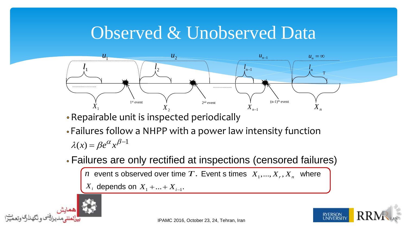#### Observed & Unobserved Data



Repairable unit is inspected periodically

- Failures follow a NHPP with a power law intensity function  $\lambda(x) = \beta e^{\alpha x} \beta^{-1}$
- Failures are only rectified at inspections (censored failures)

```
n event s observed over time T. Event s times X_1, ..., X_r, X_n where
```
 $X_i$  depends on  $X_1 + ... + X_{i-1}$ .



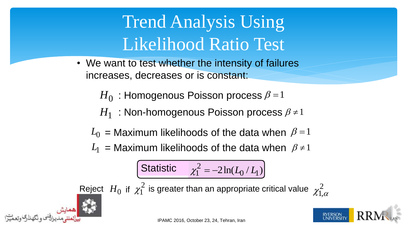# Trend Analysis Using Likelihood Ratio Test

- We want to test whether the intensity of failures increases, decreases or is constant:
	- $H_0\,$  : Homogenous Poisson process  $\beta$  = 1
	- $H_1^-$ : Non-homogenous Poisson process  $\beta$  ≠ 1
	- $L_0$  = Maximum likelihoods of the data when  $\beta$ =1
	- $L_1$  = Maximum likelihoods of the data when  $\beta \neq 1$

$$
\text{Statistics} \quad \chi_1^2 = -2\ln(L_0/L_1)
$$

Reject  $H_0$  if  $\chi_1^2$  is greater than an appropriate critical value  $\chi_{\bar{1}}$  $\mathcal{X}^{\mathsf{T}}_{\mathsf{1},\alpha}$ 





2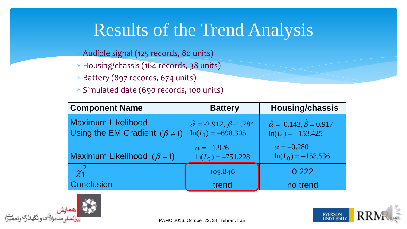### Results of the Trend Analysis

Audible signal (125 records, 80 units)

- \* Housing/chassis (164 records, 38 units)
- Battery (897 records, 674 units)
- Simulated date (690 records, 100 units)

| <b>Component Name</b>                                               | <b>Battery</b>                                                       | <b>Housing/chassis</b>                                               |
|---------------------------------------------------------------------|----------------------------------------------------------------------|----------------------------------------------------------------------|
| <b>Maximum Likelihood</b><br>Using the EM Gradient $(\beta \neq 1)$ | $\hat{\alpha} = -2.912, \hat{\beta} = 1.784$<br>$ln(L_1) = -698.305$ | $\hat{\alpha} = -0.142, \hat{\beta} = 0.917$<br>$ln(L_1) = -153.425$ |
| Maximum Likelihood $(\beta = 1)$                                    | $\alpha = -1.926$<br>$\ln(L_0) = -751.228$                           | $\alpha = -0.280$<br>$\ln(L_0) = -153.536$                           |
| $\chi_1^2$                                                          | 105.846                                                              | 0.222                                                                |
| <b>Conclusion</b>                                                   | trend                                                                | no trend                                                             |



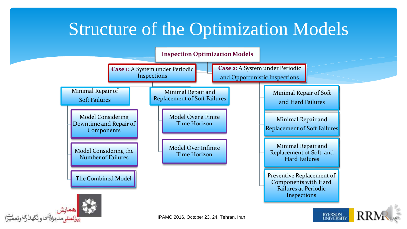### Structure of the Optimization Models



بافختوه نكهلاب وتعميرا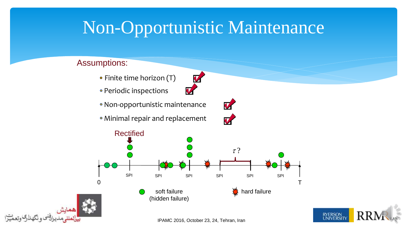### Non-Opportunistic Maintenance

V

 $\boldsymbol{v}$ 

#### Assumptions:

- Finite time horizon (T)
- Periodic inspections
- Non-opportunistic maintenance
- Minimal repair and replacement







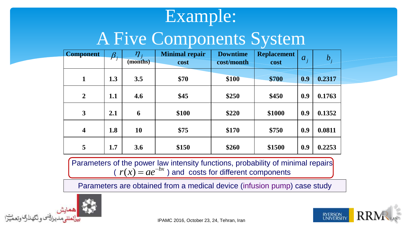#### Example:

### A Five Components System

| <b>Component</b>        | $\pmb{\beta}$ | $\boldsymbol{\eta}_i$<br>(months) | <b>Minimal repair</b><br>cost | <b>Downtime</b><br>cost/month | <b>Replacement</b><br>cost | $a_{i}$ | $b_{i}$ |
|-------------------------|---------------|-----------------------------------|-------------------------------|-------------------------------|----------------------------|---------|---------|
| 1                       | 1.3           | 3.5                               | \$70                          | \$100                         | \$700                      | 0.9     | 0.2317  |
| $\overline{2}$          | 1.1           | 4.6                               | \$45                          | \$250                         | \$450                      | 0.9     | 0.1763  |
| $\mathbf{3}$            | 2.1           | 6                                 | \$100                         | \$220                         | \$1000                     | 0.9     | 0.1352  |
| $\overline{\mathbf{4}}$ | 1.8           | 10                                | \$75                          | \$170                         | \$750                      | 0.9     | 0.0811  |
| 5                       | 1.7           | 3.6                               | \$150                         | \$260                         | \$1500                     | 0.9     | 0.2253  |

Parameters of the power law intensity functions, probability of minimal repairs  $(r(x)) = ae^{-bx}$  ) and costs for different components

Parameters are obtained from a medical device (infusion pump) case study



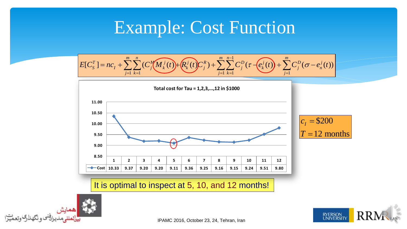### Example: Cost Function

**Example: Cost Function**  

$$
E[c_s^r] = nc_t + \sum_{j=1}^m \sum_{k=1}^n (C_j^M(M_k^j(t)) + R_k^j(t)C_j^R) + \sum_{j=1}^m \sum_{k=1}^{n-1} C_j^D(\tau - e_k^j(t)) + \sum_{j=1}^m C_j^D(\sigma - e_n^j(t))
$$



It is optimal to inspect at 5, 10, and 12 months!



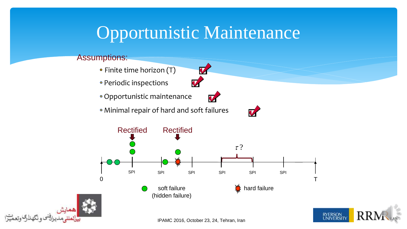### Opportunistic Maintenance

#### Assumptions:

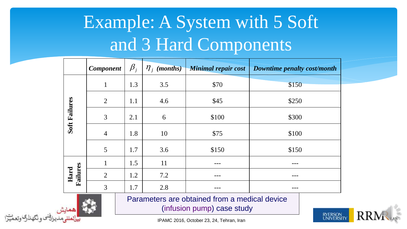# Example: A System with 5 Soft and 3 Hard Components

|                  | <b>Component</b> | $\beta_{j}$ | $\eta_j$ (months) | <b>Minimal repair cost</b> | Downtime penalty cost/month |  |
|------------------|------------------|-------------|-------------------|----------------------------|-----------------------------|--|
|                  | $\mathbf{1}$     | 1.3         | 3.5               | \$70                       | \$150                       |  |
|                  | $\overline{2}$   | 1.1         | 4.6               | \$45<br>\$250              |                             |  |
| Soft Failures    | 3                | 2.1         | 6                 | \$100                      | \$300                       |  |
|                  | $\overline{4}$   | 1.8         | 10                | \$75                       | \$100                       |  |
|                  | 5                | 1.7         | 3.6               | \$150                      | \$150                       |  |
|                  | $\mathbf{1}$     | 1.5         | 11                |                            |                             |  |
| Failures<br>Hard | $\overline{2}$   | 1.2         | 7.2               |                            |                             |  |
|                  | 3                | 1.7         | 2.8               |                            |                             |  |

Parameters are obtained from a medical device (infusion pump) case study

**RYERSON**<br>UNIVERSIT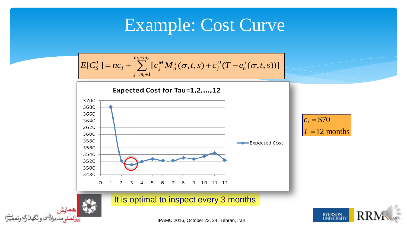### Example: Cost Curve

$$
E[C_S^T] = nc_I + \sum_{j=m_1+1}^{m_1+m_2} [c_j^M M_n^j(\sigma,t,s) + c_j^D (T - e_n^j(\sigma,t,s))]
$$



 $T = 12$  months  $c_I =$ 



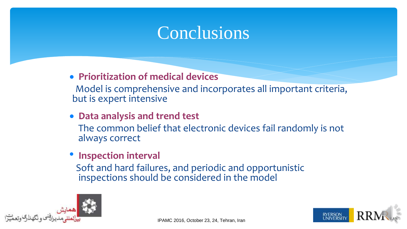#### Conclusions

**Prioritization of medical devices**

Model is comprehensive and incorporates all important criteria, but is expert intensive

 **Data analysis and trend test** The common belief that electronic devices fail randomly is not always correct

#### • **Inspection interval**

Soft and hard failures, and periodic and opportunistic inspections should be considered in the model



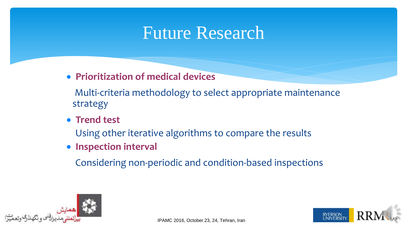#### Future Research

**Prioritization of medical devices**

Multi-criteria methodology to select appropriate maintenance strategy

**• Trend test** 

Using other iterative algorithms to compare the results

**• Inspection interval** 

Considering non-periodic and condition-based inspections